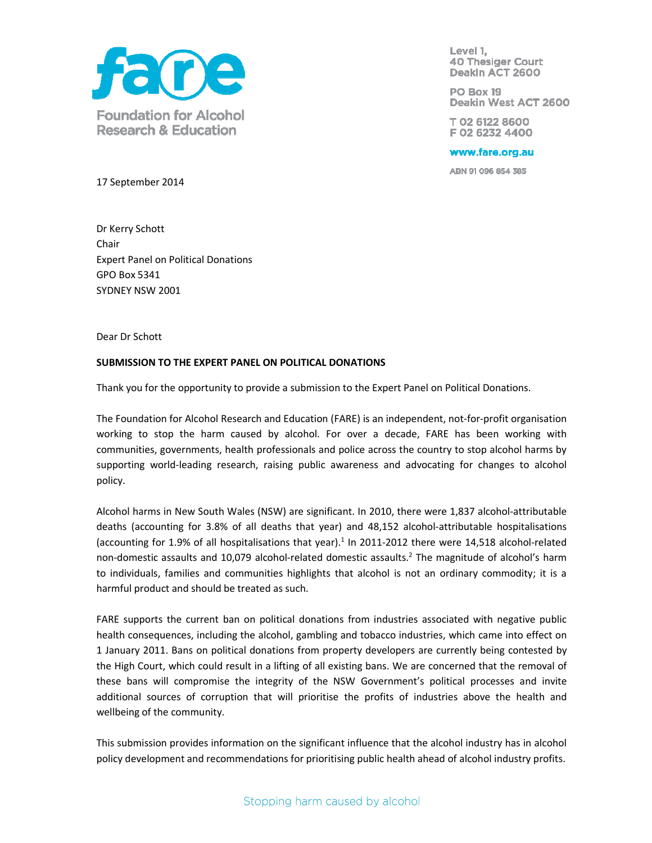

Level 1, **40 Thesiger Court** Deakin ACT 2600

PO Box 19 Deakin West ACT 2600

T02 6122 8600 F02 6232 4400

www.fare.org.au

ABN 91 096 854 385

17 September 2014

Dr Kerry Schott Chair Expert Panel on Political Donations GPO Box 5341 SYDNEY NSW 2001

Dear Dr Schott

### **SUBMISSION TO THE EXPERT PANEL ON POLITICAL DONATIONS**

Thank you for the opportunity to provide a submission to the Expert Panel on Political Donations.

The Foundation for Alcohol Research and Education (FARE) is an independent, not-for-profit organisation working to stop the harm caused by alcohol. For over a decade, FARE has been working with communities, governments, health professionals and police across the country to stop alcohol harms by supporting world-leading research, raising public awareness and advocating for changes to alcohol policy.

Alcohol harms in New South Wales (NSW) are significant. In 2010, there were 1,837 alcohol-attributable deaths (accounting for 3.8% of all deaths that year) and 48,152 alcohol-attributable hospitalisations (accounting for 1.9% of all hospitalisations that year). $1$  In 2011-2012 there were 14,518 alcohol-related non-domestic assaults and 10,079 alcohol-related domestic assaults.<sup>2</sup> The magnitude of alcohol's harm to individuals, families and communities highlights that alcohol is not an ordinary commodity; it is a harmful product and should be treated as such.

FARE supports the current ban on political donations from industries associated with negative public health consequences, including the alcohol, gambling and tobacco industries, which came into effect on 1 January 2011. Bans on political donations from property developers are currently being contested by the High Court, which could result in a lifting of all existing bans. We are concerned that the removal of these bans will compromise the integrity of the NSW Government's political processes and invite additional sources of corruption that will prioritise the profits of industries above the health and wellbeing of the community.

This submission provides information on the significant influence that the alcohol industry has in alcohol policy development and recommendations for prioritising public health ahead of alcohol industry profits.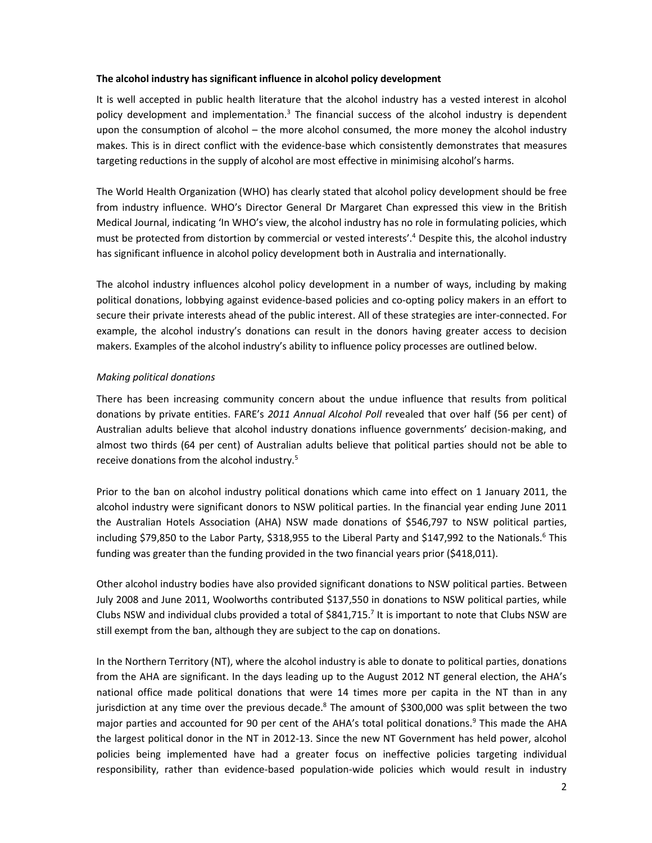### **The alcohol industry has significant influence in alcohol policy development**

It is well accepted in public health literature that the alcohol industry has a vested interest in alcohol policy development and implementation.<sup>3</sup> The financial success of the alcohol industry is dependent upon the consumption of alcohol – the more alcohol consumed, the more money the alcohol industry makes. This is in direct conflict with the evidence-base which consistently demonstrates that measures targeting reductions in the supply of alcohol are most effective in minimising alcohol's harms.

The World Health Organization (WHO) has clearly stated that alcohol policy development should be free from industry influence. WHO's Director General Dr Margaret Chan expressed this view in the British Medical Journal, indicating 'In WHO's view, the alcohol industry has no role in formulating policies, which must be protected from distortion by commercial or vested interests'.<sup>4</sup> Despite this, the alcohol industry has significant influence in alcohol policy development both in Australia and internationally.

The alcohol industry influences alcohol policy development in a number of ways, including by making political donations, lobbying against evidence-based policies and co-opting policy makers in an effort to secure their private interests ahead of the public interest. All of these strategies are inter-connected. For example, the alcohol industry's donations can result in the donors having greater access to decision makers. Examples of the alcohol industry's ability to influence policy processes are outlined below.

# *Making political donations*

There has been increasing community concern about the undue influence that results from political donations by private entities. FARE's *2011 Annual Alcohol Poll* revealed that over half (56 per cent) of Australian adults believe that alcohol industry donations influence governments' decision-making, and almost two thirds (64 per cent) of Australian adults believe that political parties should not be able to receive donations from the alcohol industry.<sup>5</sup>

Prior to the ban on alcohol industry political donations which came into effect on 1 January 2011, the alcohol industry were significant donors to NSW political parties. In the financial year ending June 2011 the Australian Hotels Association (AHA) NSW made donations of \$546,797 to NSW political parties, including \$79,850 to the Labor Party, \$318,955 to the Liberal Party and \$147,992 to the Nationals.<sup>6</sup> This funding was greater than the funding provided in the two financial years prior (\$418,011).

Other alcohol industry bodies have also provided significant donations to NSW political parties. Between July 2008 and June 2011, Woolworths contributed \$137,550 in donations to NSW political parties, while Clubs NSW and individual clubs provided a total of  $$841,715$ .<sup>7</sup> It is important to note that Clubs NSW are still exempt from the ban, although they are subject to the cap on donations.

In the Northern Territory (NT), where the alcohol industry is able to donate to political parties, donations from the AHA are significant. In the days leading up to the August 2012 NT general election, the AHA's national office made political donations that were 14 times more per capita in the NT than in any jurisdiction at any time over the previous decade.<sup>8</sup> The amount of \$300,000 was split between the two major parties and accounted for 90 per cent of the AHA's total political donations.<sup>9</sup> This made the AHA the largest political donor in the NT in 2012-13. Since the new NT Government has held power, alcohol policies being implemented have had a greater focus on ineffective policies targeting individual responsibility, rather than evidence-based population-wide policies which would result in industry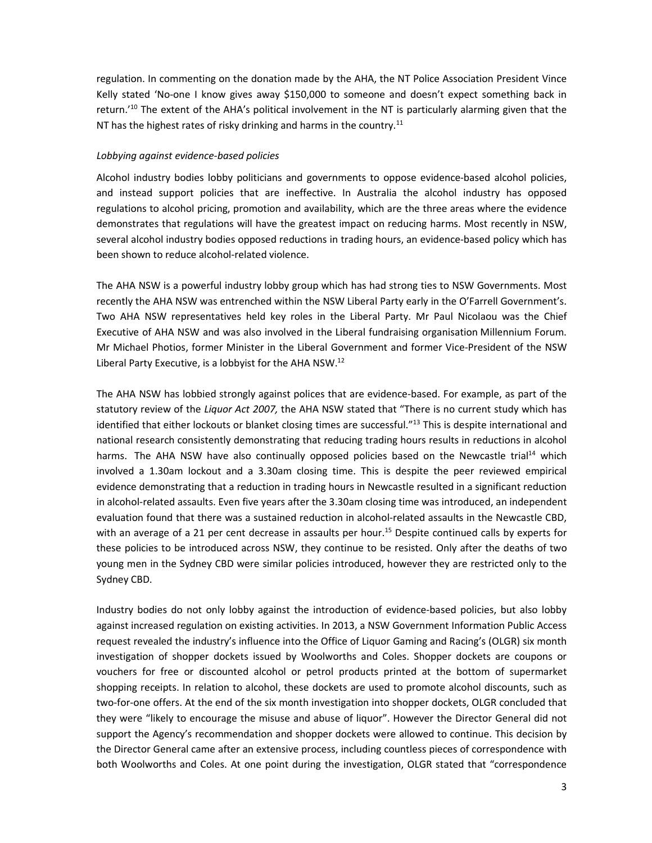regulation. In commenting on the donation made by the AHA, the NT Police Association President Vince Kelly stated 'No-one I know gives away \$150,000 to someone and doesn't expect something back in return.'<sup>10</sup> The extent of the AHA's political involvement in the NT is particularly alarming given that the NT has the highest rates of risky drinking and harms in the country.<sup>11</sup>

#### *Lobbying against evidence-based policies*

Alcohol industry bodies lobby politicians and governments to oppose evidence-based alcohol policies, and instead support policies that are ineffective. In Australia the alcohol industry has opposed regulations to alcohol pricing, promotion and availability, which are the three areas where the evidence demonstrates that regulations will have the greatest impact on reducing harms. Most recently in NSW, several alcohol industry bodies opposed reductions in trading hours, an evidence-based policy which has been shown to reduce alcohol-related violence.

The AHA NSW is a powerful industry lobby group which has had strong ties to NSW Governments. Most recently the AHA NSW was entrenched within the NSW Liberal Party early in the O'Farrell Government's. Two AHA NSW representatives held key roles in the Liberal Party. Mr Paul Nicolaou was the Chief Executive of AHA NSW and was also involved in the Liberal fundraising organisation Millennium Forum. Mr Michael Photios, former Minister in the Liberal Government and former Vice-President of the NSW Liberal Party Executive, is a lobbyist for the AHA NSW. $^{12}$ 

The AHA NSW has lobbied strongly against polices that are evidence-based. For example, as part of the statutory review of the *Liquor Act 2007,* the AHA NSW stated that "There is no current study which has identified that either lockouts or blanket closing times are successful."<sup>13</sup> This is despite international and national research consistently demonstrating that reducing trading hours results in reductions in alcohol harms. The AHA NSW have also continually opposed policies based on the Newcastle trial<sup>14</sup> which involved a 1.30am lockout and a 3.30am closing time. This is despite the peer reviewed empirical evidence demonstrating that a reduction in trading hours in Newcastle resulted in a significant reduction in alcohol-related assaults. Even five years after the 3.30am closing time was introduced, an independent evaluation found that there was a sustained reduction in alcohol-related assaults in the Newcastle CBD, with an average of a 21 per cent decrease in assaults per hour.<sup>15</sup> Despite continued calls by experts for these policies to be introduced across NSW, they continue to be resisted. Only after the deaths of two young men in the Sydney CBD were similar policies introduced, however they are restricted only to the Sydney CBD.

Industry bodies do not only lobby against the introduction of evidence-based policies, but also lobby against increased regulation on existing activities. In 2013, a NSW Government Information Public Access request revealed the industry's influence into the Office of Liquor Gaming and Racing's (OLGR) six month investigation of shopper dockets issued by Woolworths and Coles. Shopper dockets are coupons or vouchers for free or discounted alcohol or petrol products printed at the bottom of supermarket shopping receipts. In relation to alcohol, these dockets are used to promote alcohol discounts, such as two-for-one offers. At the end of the six month investigation into shopper dockets, OLGR concluded that they were "likely to encourage the misuse and abuse of liquor". However the Director General did not support the Agency's recommendation and shopper dockets were allowed to continue. This decision by the Director General came after an extensive process, including countless pieces of correspondence with both Woolworths and Coles. At one point during the investigation, OLGR stated that "correspondence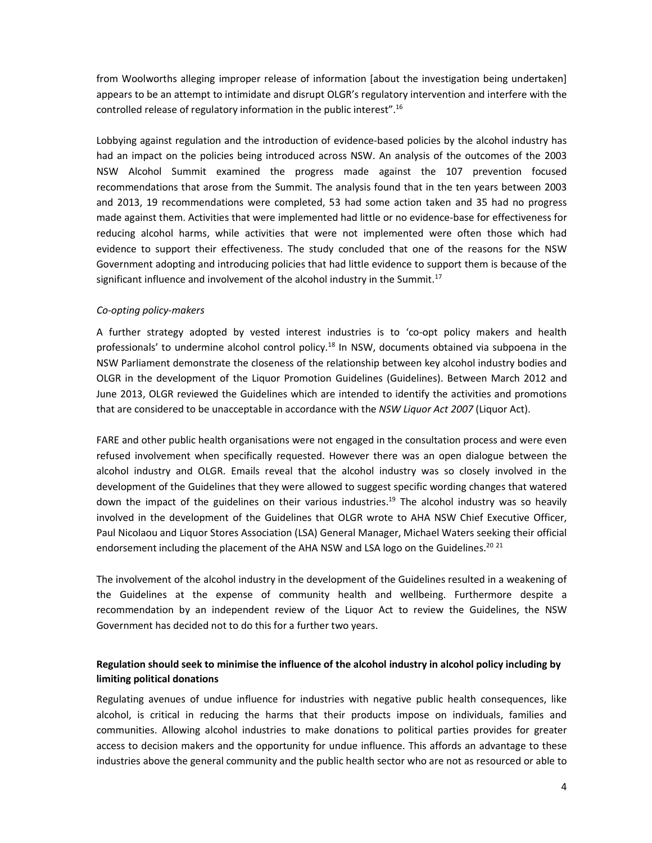from Woolworths alleging improper release of information [about the investigation being undertaken] appears to be an attempt to intimidate and disrupt OLGR's regulatory intervention and interfere with the controlled release of regulatory information in the public interest".<sup>16</sup>

Lobbying against regulation and the introduction of evidence-based policies by the alcohol industry has had an impact on the policies being introduced across NSW. An analysis of the outcomes of the 2003 NSW Alcohol Summit examined the progress made against the 107 prevention focused recommendations that arose from the Summit. The analysis found that in the ten years between 2003 and 2013, 19 recommendations were completed, 53 had some action taken and 35 had no progress made against them. Activities that were implemented had little or no evidence-base for effectiveness for reducing alcohol harms, while activities that were not implemented were often those which had evidence to support their effectiveness. The study concluded that one of the reasons for the NSW Government adopting and introducing policies that had little evidence to support them is because of the significant influence and involvement of the alcohol industry in the Summit.<sup>17</sup>

# *Co-opting policy-makers*

A further strategy adopted by vested interest industries is to 'co-opt policy makers and health professionals' to undermine alcohol control policy.<sup>18</sup> In NSW, documents obtained via subpoena in the NSW Parliament demonstrate the closeness of the relationship between key alcohol industry bodies and OLGR in the development of the Liquor Promotion Guidelines (Guidelines). Between March 2012 and June 2013, OLGR reviewed the Guidelines which are intended to identify the activities and promotions that are considered to be unacceptable in accordance with the *NSW Liquor Act 2007* (Liquor Act).

FARE and other public health organisations were not engaged in the consultation process and were even refused involvement when specifically requested. However there was an open dialogue between the alcohol industry and OLGR. Emails reveal that the alcohol industry was so closely involved in the development of the Guidelines that they were allowed to suggest specific wording changes that watered down the impact of the guidelines on their various industries.<sup>19</sup> The alcohol industry was so heavily involved in the development of the Guidelines that OLGR wrote to AHA NSW Chief Executive Officer, Paul Nicolaou and Liquor Stores Association (LSA) General Manager, Michael Waters seeking their official endorsement including the placement of the AHA NSW and LSA logo on the Guidelines.<sup>20 21</sup>

The involvement of the alcohol industry in the development of the Guidelines resulted in a weakening of the Guidelines at the expense of community health and wellbeing. Furthermore despite a recommendation by an independent review of the Liquor Act to review the Guidelines, the NSW Government has decided not to do this for a further two years.

# **Regulation should seek to minimise the influence of the alcohol industry in alcohol policy including by limiting political donations**

Regulating avenues of undue influence for industries with negative public health consequences, like alcohol, is critical in reducing the harms that their products impose on individuals, families and communities. Allowing alcohol industries to make donations to political parties provides for greater access to decision makers and the opportunity for undue influence. This affords an advantage to these industries above the general community and the public health sector who are not as resourced or able to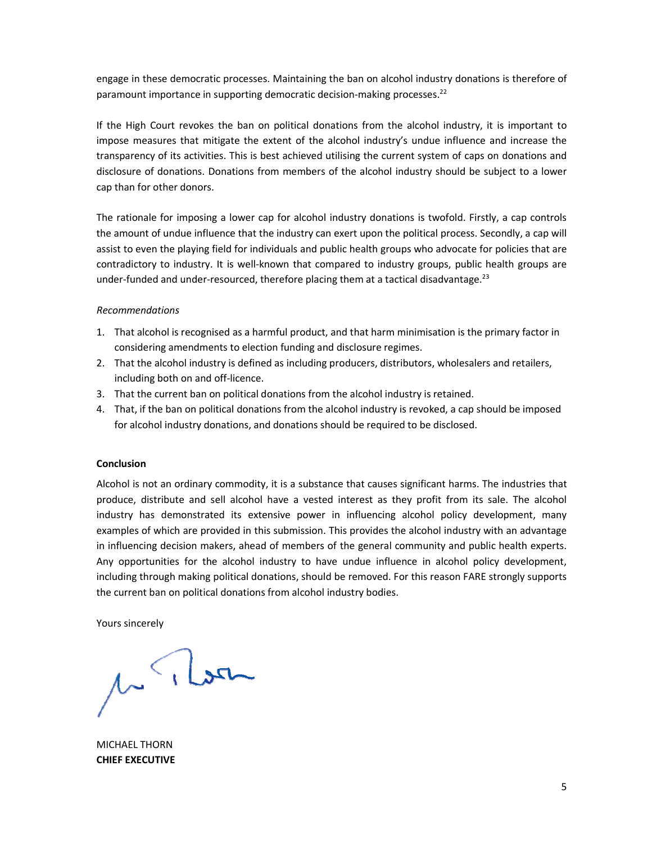engage in these democratic processes. Maintaining the ban on alcohol industry donations is therefore of paramount importance in supporting democratic decision-making processes.<sup>22</sup>

If the High Court revokes the ban on political donations from the alcohol industry, it is important to impose measures that mitigate the extent of the alcohol industry's undue influence and increase the transparency of its activities. This is best achieved utilising the current system of caps on donations and disclosure of donations. Donations from members of the alcohol industry should be subject to a lower cap than for other donors.

The rationale for imposing a lower cap for alcohol industry donations is twofold. Firstly, a cap controls the amount of undue influence that the industry can exert upon the political process. Secondly, a cap will assist to even the playing field for individuals and public health groups who advocate for policies that are contradictory to industry. It is well-known that compared to industry groups, public health groups are under-funded and under-resourced, therefore placing them at a tactical disadvantage.<sup>23</sup>

# *Recommendations*

- 1. That alcohol is recognised as a harmful product, and that harm minimisation is the primary factor in considering amendments to election funding and disclosure regimes.
- 2. That the alcohol industry is defined as including producers, distributors, wholesalers and retailers, including both on and off-licence.
- 3. That the current ban on political donations from the alcohol industry is retained.
- 4. That, if the ban on political donations from the alcohol industry is revoked, a cap should be imposed for alcohol industry donations, and donations should be required to be disclosed.

# **Conclusion**

Alcohol is not an ordinary commodity, it is a substance that causes significant harms. The industries that produce, distribute and sell alcohol have a vested interest as they profit from its sale. The alcohol industry has demonstrated its extensive power in influencing alcohol policy development, many examples of which are provided in this submission. This provides the alcohol industry with an advantage in influencing decision makers, ahead of members of the general community and public health experts. Any opportunities for the alcohol industry to have undue influence in alcohol policy development, including through making political donations, should be removed. For this reason FARE strongly supports the current ban on political donations from alcohol industry bodies.

Yours sincerely

1 Mon

MICHAEL THORN **CHIEF EXECUTIVE**